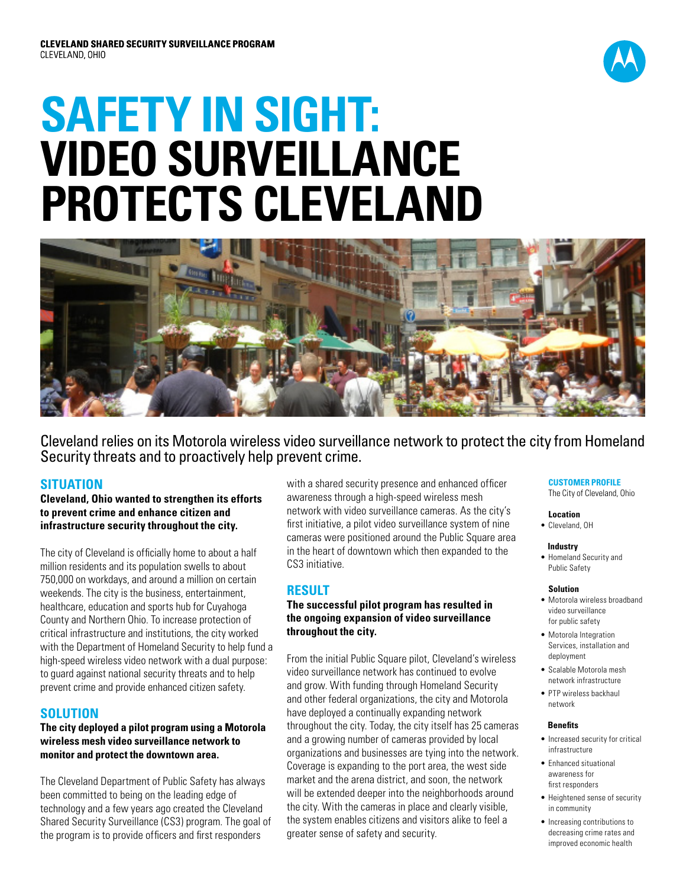

# **SAFETY IN SIGHT: VIDEO SURVEILLANCE PROTECTS CLEVELAND**



Cleveland relies on its Motorola wireless video surveillance network to protect the city from Homeland Security threats and to proactively help prevent crime.

# **SITUATION**

**Cleveland, Ohio wanted to strengthen its efforts to prevent crime and enhance citizen and infrastructure security throughout the city.** 

The city of Cleveland is officially home to about a half million residents and its population swells to about 750,000 on workdays, and around a million on certain weekends. The city is the business, entertainment, healthcare, education and sports hub for Cuyahoga County and Northern Ohio. To increase protection of critical infrastructure and institutions, the city worked with the Department of Homeland Security to help fund a high-speed wireless video network with a dual purpose: to guard against national security threats and to help prevent crime and provide enhanced citizen safety.

## **SOLUTION**

#### **The city deployed a pilot program using a Motorola wireless mesh video surveillance network to monitor and protect the downtown area.**

The Cleveland Department of Public Safety has always been committed to being on the leading edge of technology and a few years ago created the Cleveland Shared Security Surveillance (CS3) program. The goal of the program is to provide officers and first responders

with a shared security presence and enhanced officer awareness through a high-speed wireless mesh network with video surveillance cameras. As the city's first initiative, a pilot video surveillance system of nine cameras were positioned around the Public Square area in the heart of downtown which then expanded to the CS3 initiative.

## **RESULT**

#### **The successful pilot program has resulted in the ongoing expansion of video surveillance throughout the city.**

From the initial Public Square pilot, Cleveland's wireless video surveillance network has continued to evolve and grow. With funding through Homeland Security and other federal organizations, the city and Motorola have deployed a continually expanding network throughout the city. Today, the city itself has 25 cameras and a growing number of cameras provided by local organizations and businesses are tying into the network. Coverage is expanding to the port area, the west side market and the arena district, and soon, the network will be extended deeper into the neighborhoods around the city. With the cameras in place and clearly visible, the system enables citizens and visitors alike to feel a greater sense of safety and security.

# **CUSTOMER PROFILE**

The City of Cleveland, Ohio

#### **Location**

• Cleveland, OH

#### **Industry**

• Homeland Security and Public Safety

#### **Solution**

- Motorola wireless broadband video surveillance for public safety
- • Motorola Integration Services, installation and deployment
- Scalable Motorola mesh network infrastructure
- PTP wireless backhaul network

#### **Benefits**

- Increased security for critical infrastructure
- Enhanced situational awareness for first responders
- • Heightened sense of security in community
- Increasing contributions to decreasing crime rates and improved economic health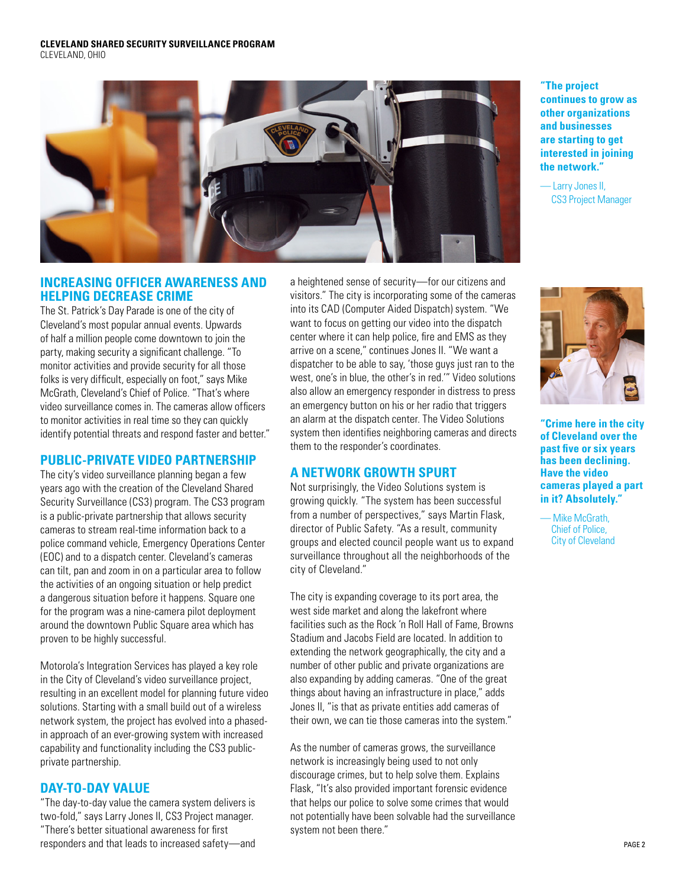

## **increasing officer awareness and helping decrease crime**

The St. Patrick's Day Parade is one of the city of Cleveland's most popular annual events. Upwards of half a million people come downtown to join the party, making security a significant challenge. "To monitor activities and provide security for all those folks is very difficult, especially on foot," says Mike McGrath, Cleveland's Chief of Police. "That's where video surveillance comes in. The cameras allow officers to monitor activities in real time so they can quickly identify potential threats and respond faster and better."

## **Public-Private Video Partnership**

The city's video surveillance planning began a few years ago with the creation of the Cleveland Shared Security Surveillance (CS3) program. The CS3 program is a public-private partnership that allows security cameras to stream real-time information back to a police command vehicle, Emergency Operations Center (EOC) and to a dispatch center. Cleveland's cameras can tilt, pan and zoom in on a particular area to follow the activities of an ongoing situation or help predict a dangerous situation before it happens. Square one for the program was a nine-camera pilot deployment around the downtown Public Square area which has proven to be highly successful.

Motorola's Integration Services has played a key role in the City of Cleveland's video surveillance project, resulting in an excellent model for planning future video solutions. Starting with a small build out of a wireless network system, the project has evolved into a phasedin approach of an ever-growing system with increased capability and functionality including the CS3 publicprivate partnership.

# **Day-to-Day Value**

"The day-to-day value the camera system delivers is two-fold," says Larry Jones II, CS3 Project manager. "There's better situational awareness for first responders and that leads to increased safety—and

a heightened sense of security—for our citizens and visitors." The city is incorporating some of the cameras into its CAD (Computer Aided Dispatch) system. "We want to focus on getting our video into the dispatch center where it can help police, fire and EMS as they arrive on a scene," continues Jones II. "We want a dispatcher to be able to say, 'those guys just ran to the west, one's in blue, the other's in red.'" Video solutions also allow an emergency responder in distress to press an emergency button on his or her radio that triggers an alarm at the dispatch center. The Video Solutions system then identifies neighboring cameras and directs them to the responder's coordinates.

# **A Network Growth Spurt**

Not surprisingly, the Video Solutions system is growing quickly. "The system has been successful from a number of perspectives," says Martin Flask, director of Public Safety. "As a result, community groups and elected council people want us to expand surveillance throughout all the neighborhoods of the city of Cleveland."

The city is expanding coverage to its port area, the west side market and along the lakefront where facilities such as the Rock 'n Roll Hall of Fame, Browns Stadium and Jacobs Field are located. In addition to extending the network geographically, the city and a number of other public and private organizations are also expanding by adding cameras. "One of the great things about having an infrastructure in place," adds Jones II, "is that as private entities add cameras of their own, we can tie those cameras into the system."

As the number of cameras grows, the surveillance network is increasingly being used to not only discourage crimes, but to help solve them. Explains Flask, "It's also provided important forensic evidence that helps our police to solve some crimes that would not potentially have been solvable had the surveillance system not been there."

**"The project continues to grow as other organizations and businesses are starting to get interested in joining the network."**

— Larry Jones II, CS3 Project Manager



**"Crime here in the city of Cleveland over the past five or six years has been declining. Have the video cameras played a part in it? Absolutely."**

Mike McGrath, Chief of Police, City of Cleveland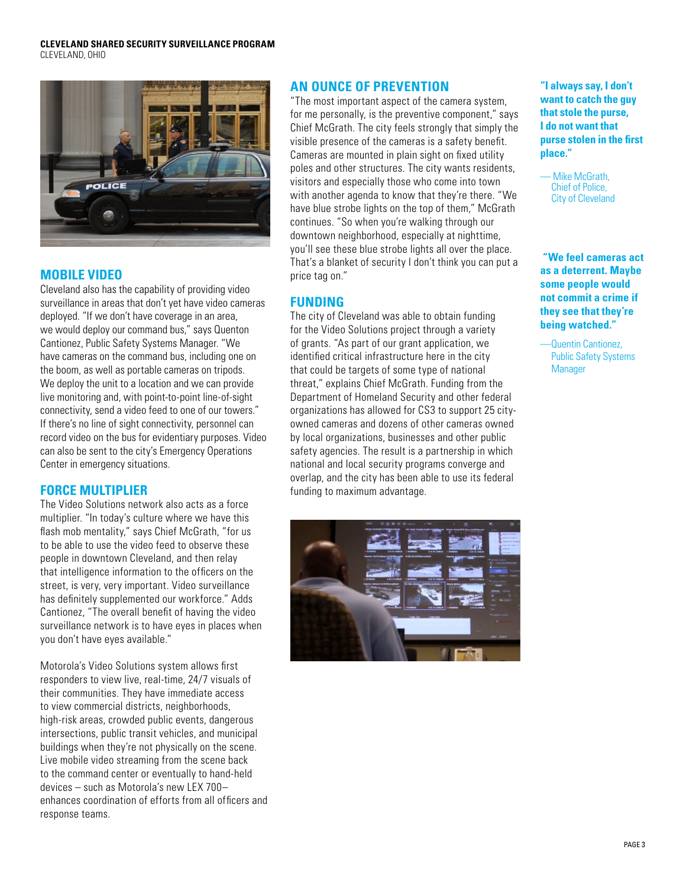

# **Mobile Video**

Cleveland also has the capability of providing video surveillance in areas that don't yet have video cameras deployed. "If we don't have coverage in an area, we would deploy our command bus," says Quenton Cantionez, Public Safety Systems Manager. "We have cameras on the command bus, including one on the boom, as well as portable cameras on tripods. We deploy the unit to a location and we can provide live monitoring and, with point-to-point line-of-sight connectivity, send a video feed to one of our towers." If there's no line of sight connectivity, personnel can record video on the bus for evidentiary purposes. Video can also be sent to the city's Emergency Operations Center in emergency situations.

# **Force Multiplier**

The Video Solutions network also acts as a force multiplier. "In today's culture where we have this flash mob mentality," says Chief McGrath, "for us to be able to use the video feed to observe these people in downtown Cleveland, and then relay that intelligence information to the officers on the street, is very, very important. Video surveillance has definitely supplemented our workforce." Adds Cantionez, "The overall benefit of having the video surveillance network is to have eyes in places when you don't have eyes available."

Motorola's Video Solutions system allows first responders to view live, real-time, 24/7 visuals of their communities. They have immediate access to view commercial districts, neighborhoods, high-risk areas, crowded public events, dangerous intersections, public transit vehicles, and municipal buildings when they're not physically on the scene. Live mobile video streaming from the scene back to the command center or eventually to hand-held devices – such as Motorola's new LEX 700– enhances coordination of efforts from all officers and response teams.

# **An Ounce of Prevention**

"The most important aspect of the camera system, for me personally, is the preventive component," says Chief McGrath. The city feels strongly that simply the visible presence of the cameras is a safety benefit. Cameras are mounted in plain sight on fixed utility poles and other structures. The city wants residents, visitors and especially those who come into town with another agenda to know that they're there. "We have blue strobe lights on the top of them," McGrath continues. "So when you're walking through our downtown neighborhood, especially at nighttime, you'll see these blue strobe lights all over the place. That's a blanket of security I don't think you can put a price tag on."

# **Funding**

The city of Cleveland was able to obtain funding for the Video Solutions project through a variety of grants. "As part of our grant application, we identified critical infrastructure here in the city that could be targets of some type of national threat," explains Chief McGrath. Funding from the Department of Homeland Security and other federal organizations has allowed for CS3 to support 25 cityowned cameras and dozens of other cameras owned by local organizations, businesses and other public safety agencies. The result is a partnership in which national and local security programs converge and overlap, and the city has been able to use its federal funding to maximum advantage.



**"I always say, I don't want to catch the guy that stole the purse, I do not want that purse stolen in the first place."**

— Mike McGrath, Chief of Police, City of Cleveland

 **"We feel cameras act as a deterrent. Maybe some people would not commit a crime if they see that they're being watched."**

—Quentin Cantionez, Public Safety Systems **Manager**